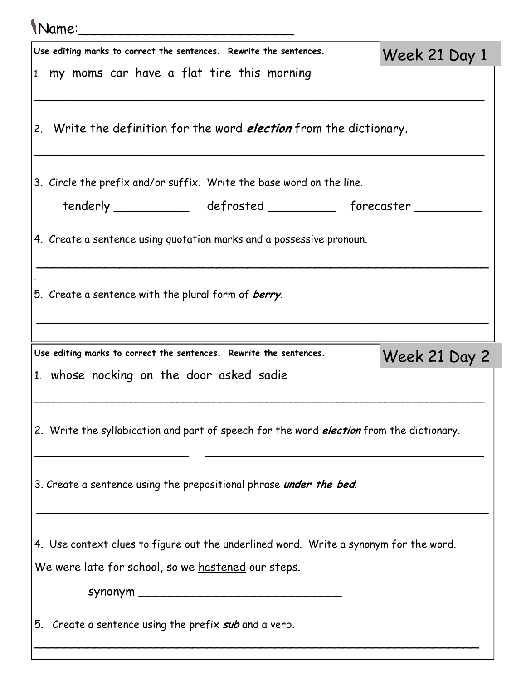| (Name:                                                                                                                                      |               |
|---------------------------------------------------------------------------------------------------------------------------------------------|---------------|
| Use editing marks to correct the sentences. Rewrite the sentences.                                                                          | Week 21 Day 1 |
| $\left  \begin{smallmatrix} 1 \end{smallmatrix} \right.$ my moms car have a flat tire this morning                                          |               |
| 2. Write the definition for the word <i>election</i> from the dictionary.                                                                   |               |
| 3. Circle the prefix and/or suffix. Write the base word on the line.                                                                        |               |
| tenderly ______________ defrosted ___________ forecaster ______                                                                             |               |
| $\vert$ 4. $\,$ Create a sentence using quotation marks and a possessive pronoun.                                                           |               |
| 5. Create a sentence with the plural form of <i>berry</i> .                                                                                 |               |
| Use editing marks to correct the sentences. Rewrite the sentences.                                                                          |               |
| 1. whose nocking on the door asked sadie                                                                                                    | Week 21 Day 2 |
| 2. Write the syllabication and part of speech for the word <i>election</i> from the dictionary.                                             |               |
| 3. Create a sentence using the prepositional phrase under the bed.                                                                          |               |
| 4. Use context clues to figure out the underlined word. Write a synonym for the word.<br>We were late for school, so we hastened our steps. |               |
| 5. Create a sentence using the prefix sub and a verb.                                                                                       |               |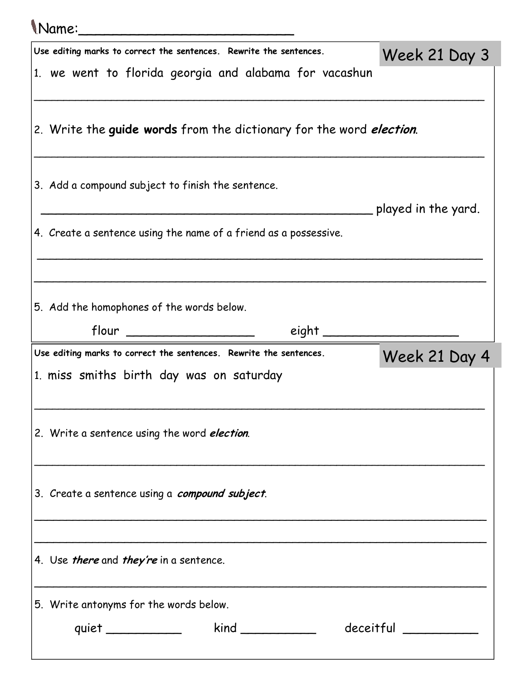| <i>Name:</i>                                                                                                   |                          |
|----------------------------------------------------------------------------------------------------------------|--------------------------|
| Use editing marks to correct the sentences. Rewrite the sentences.                                             | Week 21 Day 3            |
| 1. we went to florida georgia and alabama for vacashun                                                         |                          |
| 2. Write the guide words from the dictionary for the word <i>election</i> .                                    |                          |
| 3. Add a compound subject to finish the sentence.                                                              | ____ played in the yard. |
| 4. Create a sentence using the name of a friend as a possessive.                                               |                          |
| 5. Add the homophones of the words below.                                                                      |                          |
| $flow \_$                                                                                                      |                          |
| Use editing marks to correct the sentences. Rewrite the sentences.<br>1. miss smiths birth day was on saturday | Week 21 Day 4            |
| 2. Write a sentence using the word <i>election</i> .                                                           |                          |
| 3. Create a sentence using a compound subject.                                                                 |                          |
| 4. Use <i>there</i> and <i>they're</i> in a sentence.                                                          |                          |
| 5. Write antonyms for the words below.                                                                         |                          |
| kind _____________ deceitful _________<br>quiet _____________                                                  |                          |